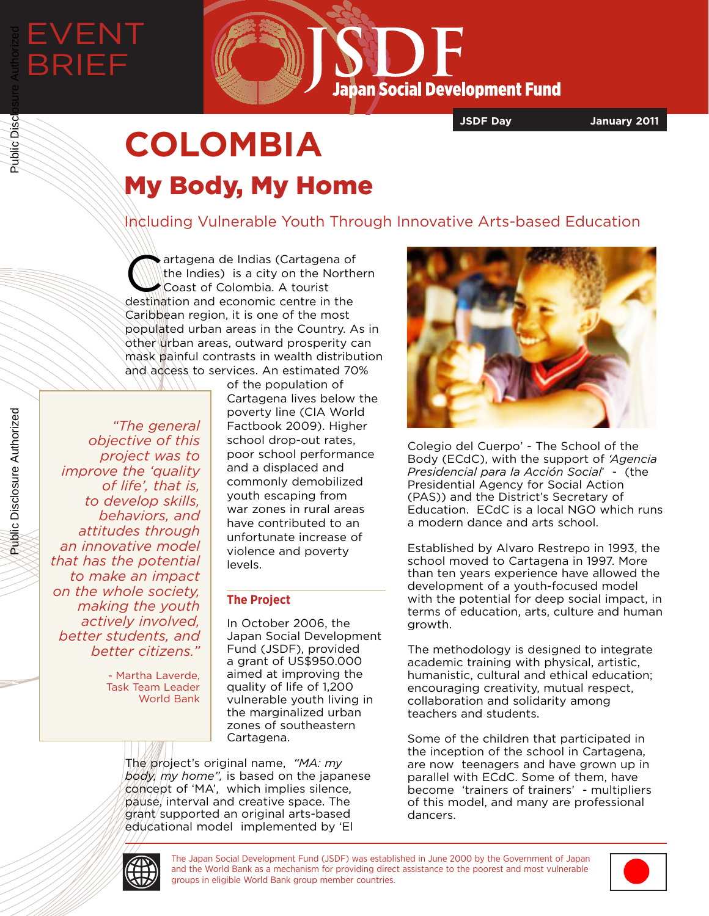EVENT

BRIEF



**JSDF Day January 2011**

# **COLOMBIA** My Body, My Home

Including Vulnerable Youth Through Innovative Arts-based Education

artagena de Indias (Cartagena of<br>the Indies) is a city on the Northe<br>coast of Colombia. A tourist the Indies) is a city on the Northern Coast of Colombia. A tourist destination and economic centre in the Caribbean region, it is one of the most populated urban areas in the Country. As in other urban areas, outward prosperity can mask painful contrasts in wealth distribution and access to services. An estimated 70%

*"The general objective of this project was to improve the 'quality of life', that is, to develop skills, behaviors, and attitudes through an innovative model that has the potential to make an impact on the whole society, making the youth actively involved, better students, and better citizens."* 

> - Martha Laverde, Task Team Leader World Bank

of the population of Cartagena lives below the poverty line (CIA World Factbook 2009). Higher school drop-out rates, poor school performance and a displaced and commonly demobilized youth escaping from war zones in rural areas have contributed to an unfortunate increase of violence and poverty levels.

## **The Project**

In October 2006, the Japan Social Development Fund (JSDF), provided a grant of US\$950.000 aimed at improving the quality of life of 1,200 vulnerable youth living in the marginalized urban zones of southeastern Cartagena.

The project's original name, *"MA: my body, my home",* is based on the japanese concept of 'MA', which implies silence, pause, interval and creative space. The grant supported an original arts-based educational model implemented by 'El



Colegio del Cuerpo' - The School of the Body (ECdC), with the support of *'Agencia Presidencial para la Acción Social*' - (the Presidential Agency for Social Action (PAS)) and the District's Secretary of Education. ECdC is a local NGO which runs a modern dance and arts school.

Established by Alvaro Restrepo in 1993, the school moved to Cartagena in 1997. More than ten years experience have allowed the development of a youth-focused model with the potential for deep social impact, in terms of education, arts, culture and human growth.

The methodology is designed to integrate academic training with physical, artistic, humanistic, cultural and ethical education; encouraging creativity, mutual respect, collaboration and solidarity among teachers and students.

Some of the children that participated in the inception of the school in Cartagena, are now teenagers and have grown up in parallel with ECdC. Some of them, have become 'trainers of trainers' - multipliers of this model, and many are professional dancers.



The Japan Social Development Fund (JSDF) was established in June 2000 by the Government of Japan and the World Bank as a mechanism for providing direct assistance to the poorest and most vulnerable groups in eligible World Bank group member countries.



Public Disclosure Authorized

Public Disclosure Authorized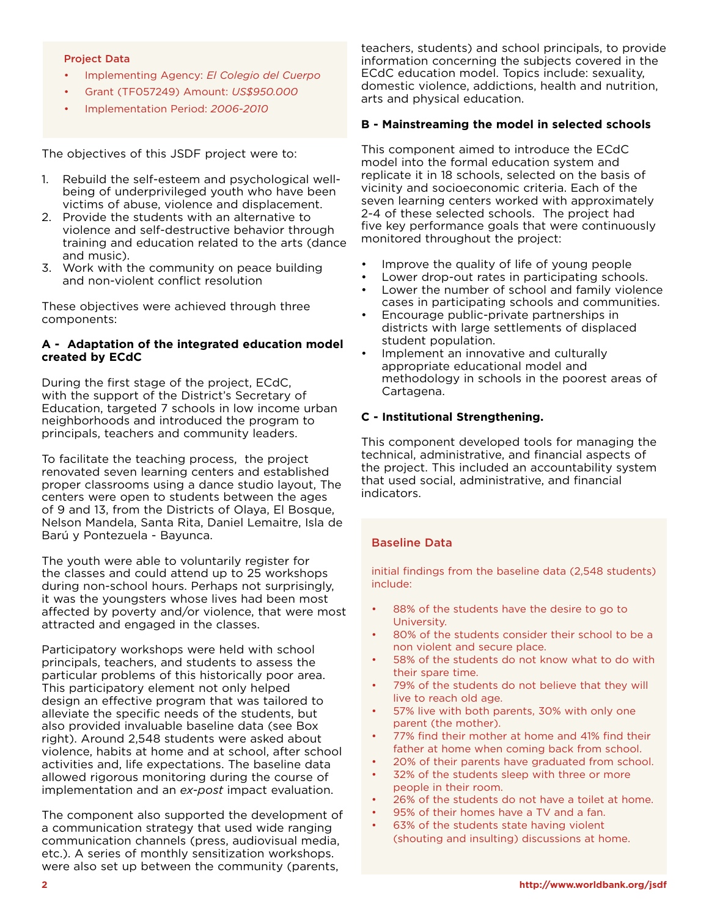#### Project Data

- Implementing Agency: *El Colegio del Cuerpo*
- Grant (TF057249) Amount: *US\$950.000*
- Implementation Period: *2006-2010*

The objectives of this JSDF project were to:

- 1. Rebuild the self-esteem and psychological wellbeing of underprivileged youth who have been victims of abuse, violence and displacement.
- 2. Provide the students with an alternative to violence and self-destructive behavior through training and education related to the arts (dance and music).
- 3. Work with the community on peace building and non-violent conflict resolution

These objectives were achieved through three components:

#### **A - Adaptation of the integrated education model created by ECdC**

During the first stage of the project, ECdC, with the support of the District's Secretary of Education, targeted 7 schools in low income urban neighborhoods and introduced the program to principals, teachers and community leaders.

To facilitate the teaching process, the project renovated seven learning centers and established proper classrooms using a dance studio layout, The centers were open to students between the ages of 9 and 13, from the Districts of Olaya, El Bosque, Nelson Mandela, Santa Rita, Daniel Lemaitre, Isla de Barú y Pontezuela - Bayunca.

The youth were able to voluntarily register for the classes and could attend up to 25 workshops during non-school hours. Perhaps not surprisingly, it was the youngsters whose lives had been most affected by poverty and/or violence, that were most attracted and engaged in the classes.

Participatory workshops were held with school principals, teachers, and students to assess the particular problems of this historically poor area. This participatory element not only helped design an effective program that was tailored to alleviate the specific needs of the students, but also provided invaluable baseline data (see Box right). Around 2,548 students were asked about violence, habits at home and at school, after school activities and, life expectations. The baseline data allowed rigorous monitoring during the course of implementation and an *ex-post* impact evaluation.

The component also supported the development of a communication strategy that used wide ranging communication channels (press, audiovisual media, etc.). A series of monthly sensitization workshops. were also set up between the community (parents,

teachers, students) and school principals, to provide information concerning the subjects covered in the ECdC education model. Topics include: sexuality, domestic violence, addictions, health and nutrition, arts and physical education.

#### **B - Mainstreaming the model in selected schools**

This component aimed to introduce the ECdC model into the formal education system and replicate it in 18 schools, selected on the basis of vicinity and socioeconomic criteria. Each of the seven learning centers worked with approximately 2-4 of these selected schools. The project had five key performance goals that were continuously monitored throughout the project:

- Improve the quality of life of young people
- Lower drop-out rates in participating schools.
- Lower the number of school and family violence cases in participating schools and communities.
- Encourage public-private partnerships in districts with large settlements of displaced student population.
- Implement an innovative and culturally appropriate educational model and methodology in schools in the poorest areas of Cartagena.

#### **C - Institutional Strengthening.**

This component developed tools for managing the technical, administrative, and financial aspects of the project. This included an accountability system that used social, administrative, and financial indicators.

#### Baseline Data

initial findings from the baseline data (2,548 students) include:

- 88% of the students have the desire to go to University.
- 80% of the students consider their school to be a non violent and secure place.
- 58% of the students do not know what to do with their spare time.
- 79% of the students do not believe that they will live to reach old age.
- 57% live with both parents, 30% with only one parent (the mother).
- 77% find their mother at home and 41% find their father at home when coming back from school.
- 20% of their parents have graduated from school.
- 32% of the students sleep with three or more people in their room.
- 26% of the students do not have a toilet at home.
- 95% of their homes have a TV and a fan.
- 63% of the students state having violent (shouting and insulting) discussions at home.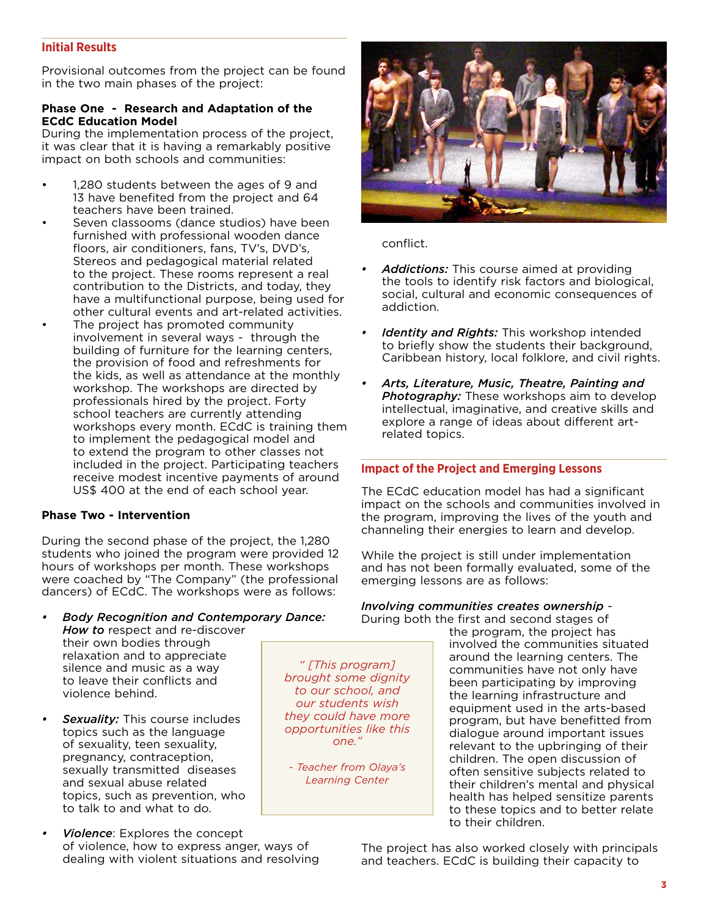### **Initial Results**

Provisional outcomes from the project can be found in the two main phases of the project:

#### **Phase One - Research and Adaptation of the ECdC Education Model**

During the implementation process of the project, it was clear that it is having a remarkably positive impact on both schools and communities:

- 1,280 students between the ages of 9 and 13 have benefited from the project and 64 teachers have been trained.
- Seven classooms (dance studios) have been furnished with professional wooden dance floors, air conditioners, fans, TV's, DVD's, Stereos and pedagogical material related to the project. These rooms represent a real contribution to the Districts, and today, they have a multifunctional purpose, being used for other cultural events and art-related activities.
- The project has promoted community involvement in several ways - through the building of furniture for the learning centers, the provision of food and refreshments for the kids, as well as attendance at the monthly workshop. The workshops are directed by professionals hired by the project. Forty school teachers are currently attending workshops every month. ECdC is training them to implement the pedagogical model and to extend the program to other classes not included in the project. Participating teachers receive modest incentive payments of around US\$ 400 at the end of each school year.

#### **Phase Two - Intervention**

During the second phase of the project, the 1,280 students who joined the program were provided 12 hours of workshops per month. These workshops were coached by "The Company" (the professional dancers) of ECdC. The workshops were as follows:

- *• Body Recognition and Contemporary Dance: How to* respect and re-discover their own bodies through relaxation and to appreciate silence and music as a way to leave their conflicts and violence behind. *" [This program] brought some dignity to our school, and*
- *Sexuality:* This course includes topics such as the language of sexuality, teen sexuality, pregnancy, contraception, sexually transmitted diseases and sexual abuse related topics, such as prevention, who to talk to and what to do.
- **Violence:** Explores the concept of violence, how to express anger, ways of dealing with violent situations and resolving



conflict.

*our students wish they could have more opportunities like this one."* 

*- Teacher from Olaya's Learning Center*

- **Addictions:** This course aimed at providing the tools to identify risk factors and biological, social, cultural and economic consequences of addiction.
- *Identity and Rights:* This workshop intended to briefly show the students their background, Caribbean history, local folklore, and civil rights.
- *• Arts, Literature, Music, Theatre, Painting and Photography:* These workshops aim to develop intellectual, imaginative, and creative skills and explore a range of ideas about different artrelated topics.

#### **Impact of the Project and Emerging Lessons**

The ECdC education model has had a significant impact on the schools and communities involved in the program, improving the lives of the youth and channeling their energies to learn and develop.

While the project is still under implementation and has not been formally evaluated, some of the emerging lessons are as follows:

#### *Involving communities creates ownership* - During both the first and second stages of

the program, the project has involved the communities situated around the learning centers. The communities have not only have been participating by improving the learning infrastructure and equipment used in the arts-based program, but have benefitted from dialogue around important issues relevant to the upbringing of their children. The open discussion of often sensitive subjects related to their children's mental and physical health has helped sensitize parents to these topics and to better relate to their children.

The project has also worked closely with principals and teachers. ECdC is building their capacity to

**3**